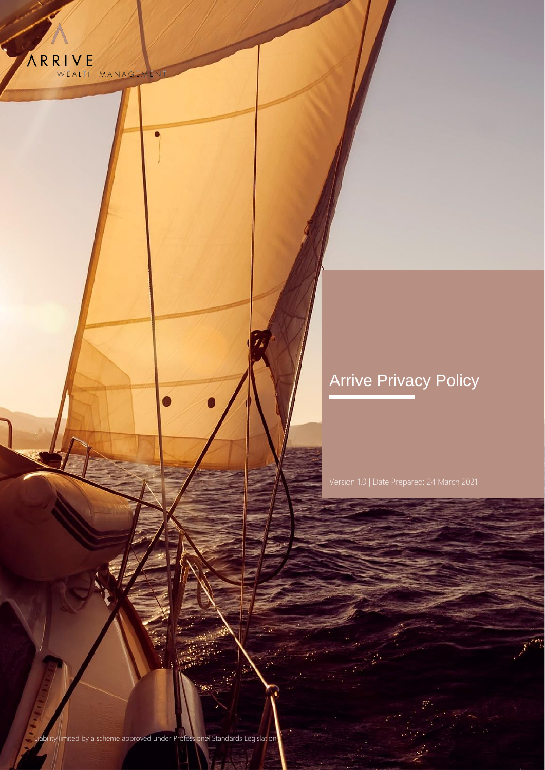

# Arrive Privacy Policy

Liability limited by a scheme approved under Professional Standards Legislation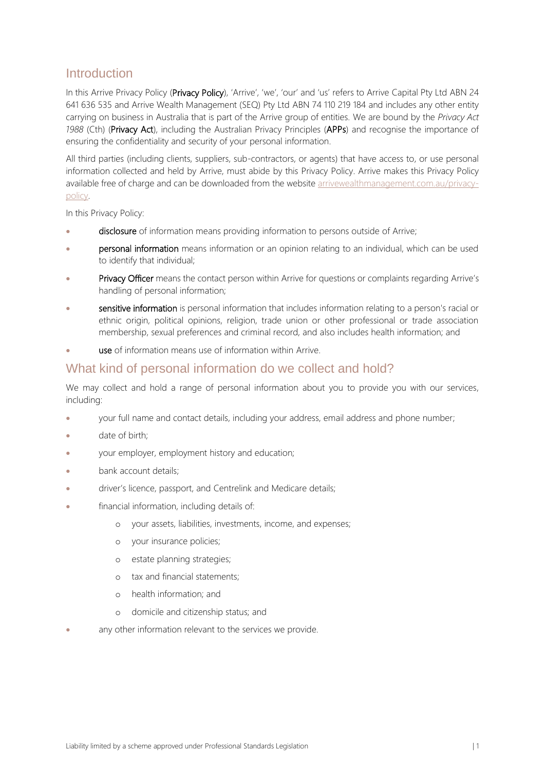## **Introduction**

In this Arrive Privacy Policy (Privacy Policy), 'Arrive', 'we', 'our' and 'us' refers to Arrive Capital Pty Ltd ABN 24 641 636 535 and Arrive Wealth Management (SEQ) Pty Ltd ABN 74 110 219 184 and includes any other entity carrying on business in Australia that is part of the Arrive group of entities. We are bound by the *Privacy Act 1988* (Cth) (Privacy Act), including the Australian Privacy Principles (APPs) and recognise the importance of ensuring the confidentiality and security of your personal information.

All third parties (including clients, suppliers, sub-contractors, or agents) that have access to, or use personal information collected and held by Arrive, must abide by this Privacy Policy. Arrive makes this Privacy Policy available free of charge and can be downloaded from the website [arrivewealthmanagement.com.au/privacy](https://www.arrivewealthmanagement.com.au/privacy-policy)[policy.](https://www.arrivewealthmanagement.com.au/privacy-policy)

In this Privacy Policy:

- disclosure of information means providing information to persons outside of Arrive;
- personal information means information or an opinion relating to an individual, which can be used to identify that individual;
- Privacy Officer means the contact person within Arrive for questions or complaints regarding Arrive's handling of personal information;
- sensitive information is personal information that includes information relating to a person's racial or ethnic origin, political opinions, religion, trade union or other professional or trade association membership, sexual preferences and criminal record, and also includes health information; and
- use of information means use of information within Arrive

#### What kind of personal information do we collect and hold?

We may collect and hold a range of personal information about you to provide you with our services, including:

- your full name and contact details, including your address, email address and phone number;
- date of birth;
- your employer, employment history and education;
- bank account details;
- driver's licence, passport, and Centrelink and Medicare details;
- financial information, including details of:
	- o your assets, liabilities, investments, income, and expenses;
	- o your insurance policies;
	- o estate planning strategies;
	- o tax and financial statements;
	- o health information; and
	- o domicile and citizenship status; and
- any other information relevant to the services we provide.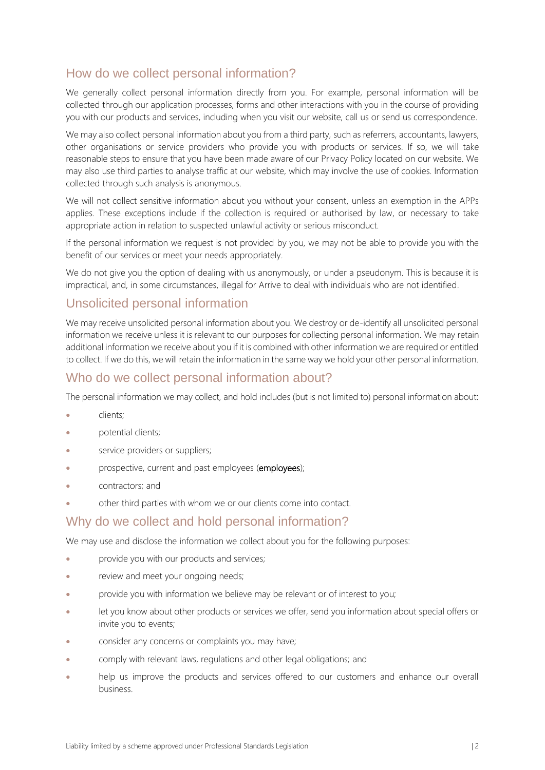## How do we collect personal information?

We generally collect personal information directly from you. For example, personal information will be collected through our application processes, forms and other interactions with you in the course of providing you with our products and services, including when you visit our website, call us or send us correspondence.

We may also collect personal information about you from a third party, such as referrers, accountants, lawyers, other organisations or service providers who provide you with products or services. If so, we will take reasonable steps to ensure that you have been made aware of our Privacy Policy located on our website. We may also use third parties to analyse traffic at our website, which may involve the use of cookies. Information collected through such analysis is anonymous.

We will not collect sensitive information about you without your consent, unless an exemption in the APPs applies. These exceptions include if the collection is required or authorised by law, or necessary to take appropriate action in relation to suspected unlawful activity or serious misconduct.

If the personal information we request is not provided by you, we may not be able to provide you with the benefit of our services or meet your needs appropriately.

We do not give you the option of dealing with us anonymously, or under a pseudonym. This is because it is impractical, and, in some circumstances, illegal for Arrive to deal with individuals who are not identified.

### Unsolicited personal information

We may receive unsolicited personal information about you. We destroy or de-identify all unsolicited personal information we receive unless it is relevant to our purposes for collecting personal information. We may retain additional information we receive about you if it is combined with other information we are required or entitled to collect. If we do this, we will retain the information in the same way we hold your other personal information.

### Who do we collect personal information about?

The personal information we may collect, and hold includes (but is not limited to) personal information about:

- clients;
- potential clients;
- service providers or suppliers;
- prospective, current and past employees (employees);
- contractors; and
- other third parties with whom we or our clients come into contact.

#### Why do we collect and hold personal information?

We may use and disclose the information we collect about you for the following purposes:

- provide you with our products and services;
- review and meet your ongoing needs;
- provide you with information we believe may be relevant or of interest to you;
- let you know about other products or services we offer, send you information about special offers or invite you to events;
- consider any concerns or complaints you may have;
- comply with relevant laws, regulations and other legal obligations; and
- help us improve the products and services offered to our customers and enhance our overall business.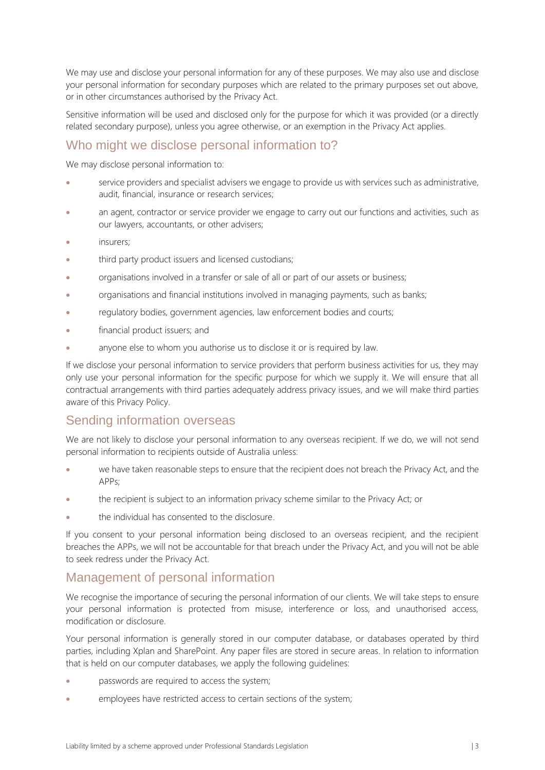We may use and disclose your personal information for any of these purposes. We may also use and disclose your personal information for secondary purposes which are related to the primary purposes set out above, or in other circumstances authorised by the Privacy Act.

Sensitive information will be used and disclosed only for the purpose for which it was provided (or a directly related secondary purpose), unless you agree otherwise, or an exemption in the Privacy Act applies.

## Who might we disclose personal information to?

We may disclose personal information to:

- service providers and specialist advisers we engage to provide us with services such as administrative, audit, financial, insurance or research services;
- an agent, contractor or service provider we engage to carry out our functions and activities, such as our lawyers, accountants, or other advisers;
- insurers:
- third party product issuers and licensed custodians;
- organisations involved in a transfer or sale of all or part of our assets or business;
- organisations and financial institutions involved in managing payments, such as banks;
- regulatory bodies, government agencies, law enforcement bodies and courts;
- financial product issuers; and
- anyone else to whom you authorise us to disclose it or is required by law.

If we disclose your personal information to service providers that perform business activities for us, they may only use your personal information for the specific purpose for which we supply it. We will ensure that all contractual arrangements with third parties adequately address privacy issues, and we will make third parties aware of this Privacy Policy.

#### Sending information overseas

We are not likely to disclose your personal information to any overseas recipient. If we do, we will not send personal information to recipients outside of Australia unless:

- we have taken reasonable steps to ensure that the recipient does not breach the Privacy Act, and the APPs;
- the recipient is subject to an information privacy scheme similar to the Privacy Act; or
- the individual has consented to the disclosure.

If you consent to your personal information being disclosed to an overseas recipient, and the recipient breaches the APPs, we will not be accountable for that breach under the Privacy Act, and you will not be able to seek redress under the Privacy Act.

#### Management of personal information

We recognise the importance of securing the personal information of our clients. We will take steps to ensure your personal information is protected from misuse, interference or loss, and unauthorised access, modification or disclosure.

Your personal information is generally stored in our computer database, or databases operated by third parties, including Xplan and SharePoint. Any paper files are stored in secure areas. In relation to information that is held on our computer databases, we apply the following guidelines:

- passwords are required to access the system;
- employees have restricted access to certain sections of the system;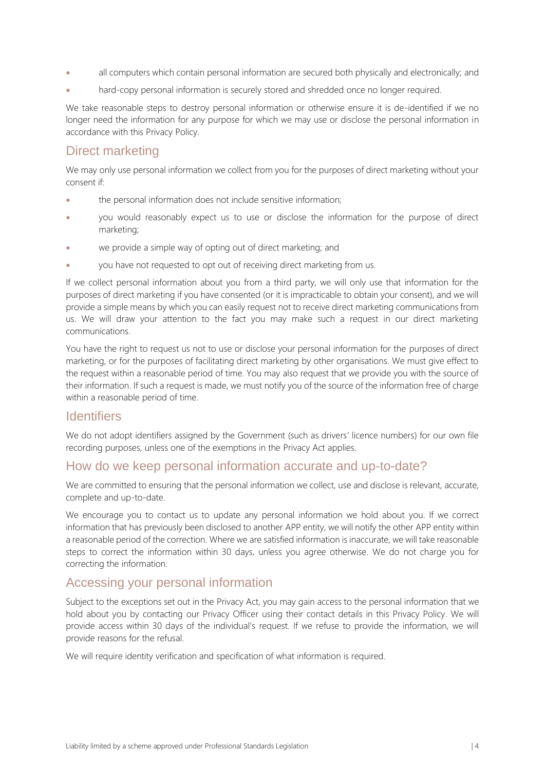- all computers which contain personal information are secured both physically and electronically; and
- hard-copy personal information is securely stored and shredded once no longer required.

We take reasonable steps to destroy personal information or otherwise ensure it is de-identified if we no longer need the information for any purpose for which we may use or disclose the personal information in accordance with this Privacy Policy.

## Direct marketing

We may only use personal information we collect from you for the purposes of direct marketing without your consent if:

- the personal information does not include sensitive information;
- you would reasonably expect us to use or disclose the information for the purpose of direct marketing;
- we provide a simple way of opting out of direct marketing; and
- you have not requested to opt out of receiving direct marketing from us.

If we collect personal information about you from a third party, we will only use that information for the purposes of direct marketing if you have consented (or it is impracticable to obtain your consent), and we will provide a simple means by which you can easily request not to receive direct marketing communications from us. We will draw your attention to the fact you may make such a request in our direct marketing communications.

You have the right to request us not to use or disclose your personal information for the purposes of direct marketing, or for the purposes of facilitating direct marketing by other organisations. We must give effect to the request within a reasonable period of time. You may also request that we provide you with the source of their information. If such a request is made, we must notify you of the source of the information free of charge within a reasonable period of time.

#### **Identifiers**

We do not adopt identifiers assigned by the Government (such as drivers' licence numbers) for our own file recording purposes, unless one of the exemptions in the Privacy Act applies.

## How do we keep personal information accurate and up-to-date?

We are committed to ensuring that the personal information we collect, use and disclose is relevant, accurate, complete and up-to-date.

We encourage you to contact us to update any personal information we hold about you. If we correct information that has previously been disclosed to another APP entity, we will notify the other APP entity within a reasonable period of the correction. Where we are satisfied information is inaccurate, we will take reasonable steps to correct the information within 30 days, unless you agree otherwise. We do not charge you for correcting the information.

#### Accessing your personal information

Subject to the exceptions set out in the Privacy Act, you may gain access to the personal information that we hold about you by contacting our Privacy Officer using their contact details in this Privacy Policy. We will provide access within 30 days of the individual's request. If we refuse to provide the information, we will provide reasons for the refusal.

We will require identity verification and specification of what information is required.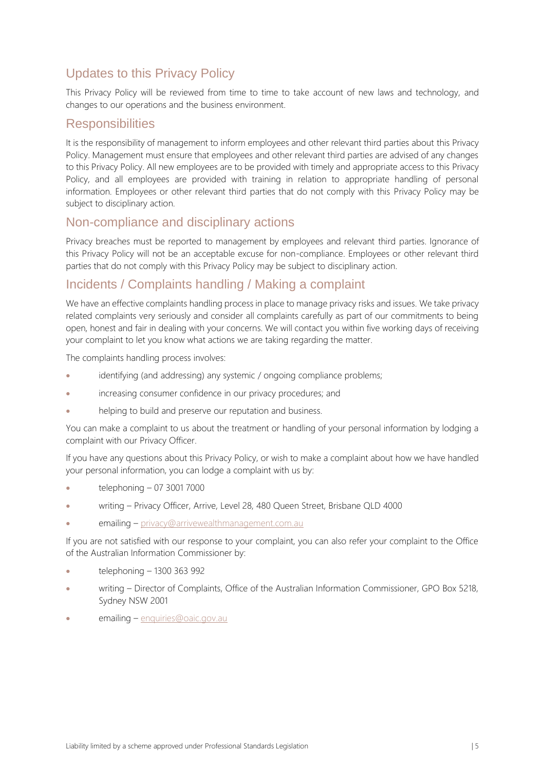# Updates to this Privacy Policy

This Privacy Policy will be reviewed from time to time to take account of new laws and technology, and changes to our operations and the business environment.

#### **Responsibilities**

It is the responsibility of management to inform employees and other relevant third parties about this Privacy Policy. Management must ensure that employees and other relevant third parties are advised of any changes to this Privacy Policy. All new employees are to be provided with timely and appropriate access to this Privacy Policy, and all employees are provided with training in relation to appropriate handling of personal information. Employees or other relevant third parties that do not comply with this Privacy Policy may be subject to disciplinary action.

## Non-compliance and disciplinary actions

Privacy breaches must be reported to management by employees and relevant third parties. Ignorance of this Privacy Policy will not be an acceptable excuse for non-compliance. Employees or other relevant third parties that do not comply with this Privacy Policy may be subject to disciplinary action.

## Incidents / Complaints handling / Making a complaint

We have an effective complaints handling process in place to manage privacy risks and issues. We take privacy related complaints very seriously and consider all complaints carefully as part of our commitments to being open, honest and fair in dealing with your concerns. We will contact you within five working days of receiving your complaint to let you know what actions we are taking regarding the matter.

The complaints handling process involves:

- identifying (and addressing) any systemic / ongoing compliance problems;
- increasing consumer confidence in our privacy procedures; and
- helping to build and preserve our reputation and business.

You can make a complaint to us about the treatment or handling of your personal information by lodging a complaint with our Privacy Officer.

If you have any questions about this Privacy Policy, or wish to make a complaint about how we have handled your personal information, you can lodge a complaint with us by:

- telephoning 07 3001 7000
- writing Privacy Officer, Arrive, Level 28, 480 Queen Street, Brisbane QLD 4000
- emailing [privacy@arrivewealthmanagement.com.au](mailto:privacy@arrivewealthmanagement.com.au)

If you are not satisfied with our response to your complaint, you can also refer your complaint to the Office of the Australian Information Commissioner by:

- telephoning 1300 363 992
- writing Director of Complaints, Office of the Australian Information Commissioner, GPO Box 5218, Sydney NSW 2001
- emailing [enquiries@oaic.gov.au](mailto:enquiries@oaic.gov.au)